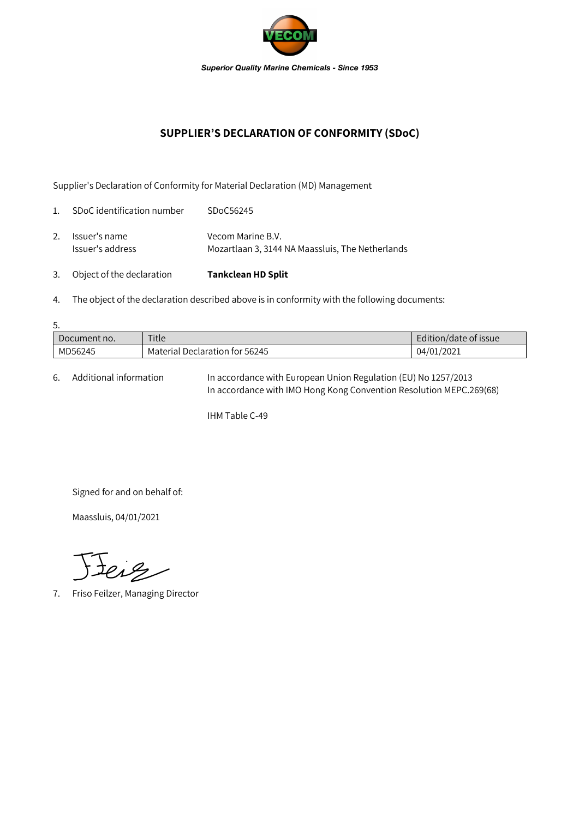

## **SUPPLIER'S DECLARATION OF CONFORMITY (SDoC)**

Supplier's Declaration of Conformity for Material Declaration (MD) Management

| 3.             | Object of the declaration         | <b>Tankclean HD Split</b>                                             |
|----------------|-----------------------------------|-----------------------------------------------------------------------|
| 2.             | Issuer's name<br>Issuer's address | Vecom Marine B.V.<br>Mozartlaan 3, 3144 NA Maassluis, The Netherlands |
| $\mathbf{1}$ . | SDoC identification number        | SDoC56245                                                             |

4. The object of the declaration described above is in conformity with the following documents:

| 5.           |                                |                       |  |  |  |  |
|--------------|--------------------------------|-----------------------|--|--|--|--|
| Document no. | Title                          | Edition/date of issue |  |  |  |  |
| MD56245      | Material Declaration for 56245 | 04/01/2021            |  |  |  |  |

6. Additional information In accordance with European Union Regulation (EU) No 1257/2013 In accordance with IMO Hong Kong Convention Resolution MEPC.269(68)

IHM Table C-49

Signed for and on behalf of:

Maassluis, 04/01/2021

Jeig

7. Friso Feilzer, Managing Director